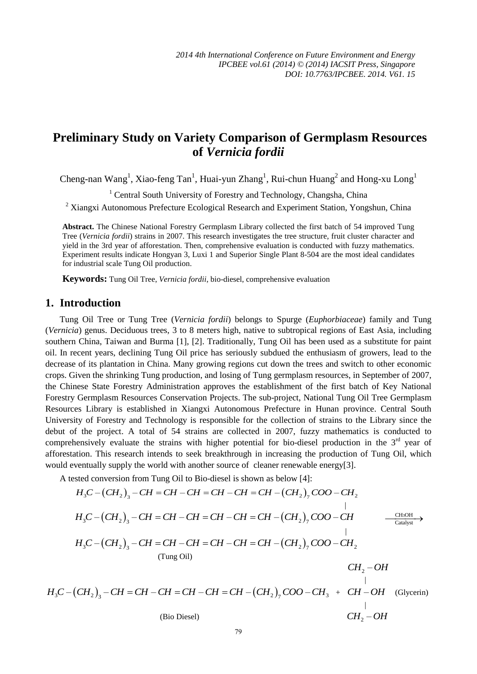# **Preliminary Study on Variety Comparison of Germplasm Resources of** *Vernicia fordii*

Cheng-nan Wang<sup>1</sup>, Xiao-feng Tan<sup>1</sup>, Huai-yun Zhang<sup>1</sup>, Rui-chun Huang<sup>2</sup> and Hong-xu Long<sup>1</sup>

<sup>1</sup> Central South University of Forestry and Technology, Changsha, China

<sup>2</sup> Xiangxi Autonomous Prefecture Ecological Research and Experiment Station, Yongshun, China

**Abstract.** The Chinese National Forestry Germplasm Library collected the first batch of 54 improved Tung Tree (*Vernicia fordii*) strains in 2007. This research investigates the tree structure, fruit cluster character and yield in the 3rd year of afforestation. Then, comprehensive evaluation is conducted with fuzzy mathematics. Experiment results indicate Hongyan 3, Luxi 1 and Superior Single Plant 8-504 are the most ideal candidates for industrial scale Tung Oil production.

**Keywords:** Tung Oil Tree, *Vernicia fordii*, bio-diesel, comprehensive evaluation

# **1. Introduction**

Tung Oil Tree or Tung Tree (*Vernicia fordii*) belongs to Spurge (*Euphorbiaceae*) family and Tung (*Vernicia*) genus. Deciduous trees, 3 to 8 meters high, native to subtropical regions of East Asia, including southern China, Taiwan and Burma [1], [2]. Traditionally, Tung Oil has been used as a substitute for paint oil. In recent years, declining Tung Oil price has seriously subdued the enthusiasm of growers, lead to the decrease of its plantation in China. Many growing regions cut down the trees and switch to other economic crops. Given the shrinking Tung production, and losing of Tung germplasm resources, in September of 2007, the Chinese State Forestry Administration approves the establishment of the first batch of Key National Forestry Germplasm Resources Conservation Projects. The sub-project, National Tung Oil Tree Germplasm Resources Library is established in Xiangxi Autonomous Prefecture in Hunan province. Central South University of Forestry and Technology is responsible for the collection of strains to the Library since the debut of the project. A total of 54 strains are collected in 2007, fuzzy mathematics is conducted to comprehensively evaluate the strains with higher potential for bio-diesel production in the  $3<sup>rd</sup>$  year of afforestation. This research intends to seek breakthrough in increasing the production of Tung Oil, which would eventually supply the world with another source of cleaner renewable energy[3].

A tested conversion from Tung Oil to Bio-diesel is shown as below [4]:

 3 2 2 2 3 7 *H C CH CH CH CH CH CH CH CH COO CH* – – – – – – | 3 2 2 3 7 *H C CH CH CH CH CH CH CH CH COO CH* – – – – – – CH OH <sup>3</sup> Catalyst | 3 2 2 2 3 7 *H C CH CH CH CH CH CH CH CH COO CH* – – – – – – (Tung Oil) <sup>2</sup> *CH OH* – | 3 2 2 3 3 7 *H C CH CH CH CH CH CH CH CH COO CH* – – – – – – + *CH OH* – (Glycerin) |

(Bio Diesel)  $CH<sub>2</sub> - OH$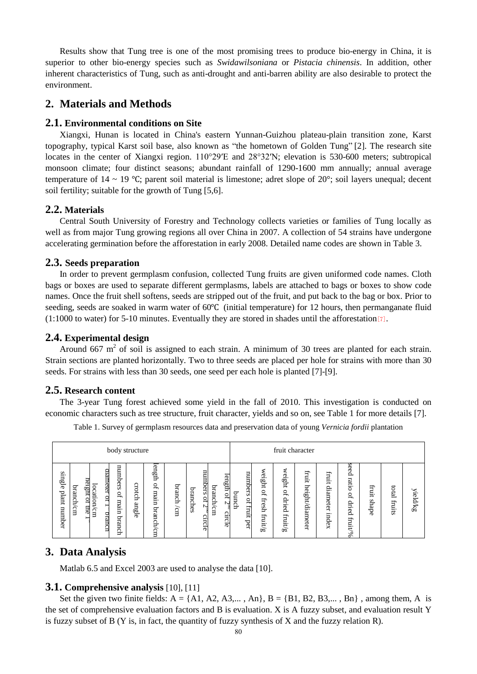Results show that Tung tree is one of the most promising trees to produce bio-energy in China, it is superior to other bio-energy species such as *Swidawilsoniana* or *Pistacia chinensis*. In addition, other inherent characteristics of Tung, such as anti-drought and anti-barren ability are also desirable to protect the environment.

# **2. Materials and Methods**

#### **2.1. Environmental conditions on Site**

Xiangxi, Hunan is located in China's eastern Yunnan-Guizhou plateau-plain transition zone, Karst topography, typical Karst soil base, also known as "the hometown of Golden Tung" [2]. The research site locates in the center of Xiangxi region.  $110^{\circ}29^{\prime}E$  and  $28^{\circ}32^{\prime}N$ ; elevation is 530-600 meters; subtropical monsoon climate; four distinct seasons; abundant rainfall of 1290-1600 mm annually; annual average temperature of 14 ~ 19 ℃; parent soil material is limestone; adret slope of 20°; soil layers unequal; decent soil fertility; suitable for the growth of Tung [5,6].

# **2.2. Materials**

Central South University of Forestry and Technology collects varieties or families of Tung locally as well as from major Tung growing regions all over China in 2007. A collection of 54 strains have undergone accelerating germination before the afforestation in early 2008. Detailed name codes are shown in Table 3.

#### **2.3. Seeds preparation**

In order to prevent germplasm confusion, collected Tung fruits are given uniformed code names. Cloth bags or boxes are used to separate different germplasms, labels are attached to bags or boxes to show code names. Once the fruit shell softens, seeds are stripped out of the fruit, and put back to the bag or box. Prior to seeding, seeds are soaked in warm water of 60℃ (initial temperature) for 12 hours, then permanganate fluid (1:1000 to water) for 5-10 minutes. Eventually they are stored in shades until the afforestation[7].

### **2.4. Experimental design**

Around 667  $m<sup>2</sup>$  of soil is assigned to each strain. A minimum of 30 trees are planted for each strain. Strain sections are planted horizontally. Two to three seeds are placed per hole for strains with more than 30 seeds. For strains with less than 30 seeds, one seed per each hole is planted [7]-[9].

#### **2.5. Research content**

The 3-year Tung forest achieved some yield in the fall of 2010. This investigation is conducted on economic characters such as tree structure, fruit character, yields and so on, see Table 1 for more details [7].

| body structure | fruit character  |
|----------------|------------------|
| length         | seed             |
| ⋍              | €                |
| umbers         | weight           |
| anmeter        | Ë                |
| nnmbers        | numbers          |
| single         | fruit            |
| length         | Ω.               |
| crotch         | ratio            |
| $\mathbf{r}$   | ght              |
| branch         | ⊣                |
| ξ              | fruit            |
| branch         | ΡĔ               |
| branch         | [ao]             |
| ນເຮົາ          | 은.               |
| branches       | ≺                |
| plant          | ď                |
| mal            | $\vec{r}$        |
| ď              | ameter           |
| Ĕ              | rield/kg         |
| $\overline{a}$ | bunch            |
| $\Omega$       | ď                |
| $\circ$        | $\overline{a}$   |
| g              | ght              |
| um             | fresh            |
| engl           | $\Omega$         |
| N              | dried            |
| −              | shape            |
| /cm            | fruits           |
| 흽              | dried            |
| number         | N                |
| $\Xi$          | ≏                |
| GID            | fruit            |
| pran           | ā                |
| Сm             | $_{\rm CHC}$     |
| uourua         | ∸                |
| ൹              | πe               |
| circle         | $\mathrm{fmitg}$ |
| branc          | fruit            |
| çp             | index            |
| ᢛ              | fruit/%          |
| $\circ$        | $_{\rm{per}}$    |
| Ë              | ğ                |
| Ë              | no,              |

Table 1. Survey of germplasm resources data and preservation data of young *Vernicia fordii* plantation

## **3. Data Analysis**

Matlab 6.5 and Excel 2003 are used to analyse the data [10].

#### **3.1. Comprehensive analysis** [10], [11]

Set the given two finite fields:  $A = \{A1, A2, A3,..., An\}$ ,  $B = \{B1, B2, B3,..., Bn\}$ , among them, A is the set of comprehensive evaluation factors and B is evaluation. X is A fuzzy subset, and evaluation result Y is fuzzy subset of B (Y is, in fact, the quantity of fuzzy synthesis of X and the fuzzy relation R).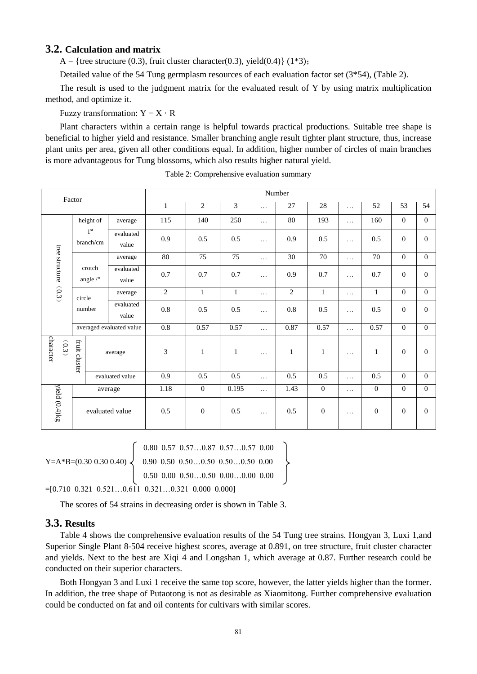### **3.2. Calculation and matrix**

A = {tree structure (0.3), fruit cluster character(0.3), yield(0.4)} (1\*3);

Detailed value of the 54 Tung germplasm resources of each evaluation factor set (3\*54), (Table 2).

The result is used to the judgment matrix for the evaluated result of Y by using matrix multiplication method, and optimize it.

Fuzzy transformation:  $Y = X \cdot R$ 

Plant characters within a certain range is helpful towards practical productions. Suitable tree shape is beneficial to higher yield and resistance. Smaller branching angle result tighter plant structure, thus, increase plant units per area, given all other conditions equal. In addition, higher number of circles of main branches is more advantageous for Tung blossoms, which also results higher natural yield.

| Factor                  |                       | Number                       |                    |                  |                  |                 |          |                 |                 |                  |                 |                  |                |
|-------------------------|-----------------------|------------------------------|--------------------|------------------|------------------|-----------------|----------|-----------------|-----------------|------------------|-----------------|------------------|----------------|
|                         |                       |                              | $\mathbf{1}$       | $\overline{2}$   | 3                | .               | 27       | 28              | $\cdots$        | 52               | 53              | 54               |                |
|                         |                       | height of                    | average            | 115              | 140              | 250             | $\ldots$ | 80              | 193             | $\ldots$         | 160             | $\overline{0}$   | $\Omega$       |
| tree structure<br>(0.3) |                       | 1 <sup>st</sup><br>branch/cm | evaluated<br>value | 0.9              | 0.5              | 0.5             | .        | 0.9             | 0.5             | $\cdots$         | 0.5             | $\boldsymbol{0}$ | $\overline{0}$ |
|                         |                       |                              | average            | $\overline{80}$  | $\overline{75}$  | $\overline{75}$ | .        | $\overline{30}$ | $\overline{70}$ | $\cdots$         | $\overline{70}$ | $\overline{0}$   | $\Omega$       |
|                         | crotch<br>angle $/$ ° |                              | evaluated<br>value | 0.7              | 0.7              | 0.7             | $\cdots$ | 0.9             | 0.7             | $\cdots$         | 0.7             | $\overline{0}$   | $\Omega$       |
|                         |                       | circle                       | average            | 2                | $\mathbf{1}$     | $\mathbf{1}$    | $\cdots$ | $\overline{2}$  | $\mathbf{1}$    | $\cdots$         | $\mathbf{1}$    | $\overline{0}$   | $\Omega$       |
|                         |                       | number                       | evaluated<br>value | $0.8\,$          | 0.5              | 0.5             | .        | $0.8\,$         | 0.5             | $\cdots$         | 0.5             | $\overline{0}$   | $\overline{0}$ |
|                         |                       | averaged evaluated value     |                    | $\overline{0.8}$ | 0.57             | 0.57            | $\cdots$ | 0.87            | 0.57            | .                | 0.57            | $\overline{0}$   | $\Omega$       |
| character<br>(0.3)      | fruit cluster         |                              | average            | 3                | $\mathbf{1}$     | $\mathbf{1}$    | $\cdots$ | $\mathbf{1}$    | $\mathbf{1}$    | $\cdots$         | $\mathbf{1}$    | $\Omega$         | $\Omega$       |
|                         |                       |                              | evaluated value    | $\overline{0.9}$ | $\overline{0.5}$ | 0.5             | $\ldots$ | 0.5             | 0.5             | $\cdots$         | 0.5             | $\overline{0}$   | $\Omega$       |
|                         | average               |                              | 1.18               | $\overline{0}$   | 0.195            | $\cdots$        | 1.43     | $\overline{0}$  | .               | $\overline{0}$   | $\overline{0}$  | $\overline{0}$   |                |
| yield (0.4)kg           | evaluated value       |                              | 0.5                | $\mathbf{0}$     | 0.5              | $\cdots$        | 0.5      | $\overline{0}$  | .               | $\boldsymbol{0}$ | $\Omega$        | $\Omega$         |                |

Table 2: Comprehensive evaluation summary

 $\begin{bmatrix} 0.80 & 0.57 & 0.57 \ldots 0.87 & 0.57 \ldots 0.57 & 0.00 \end{bmatrix}$  $Y=A*B=(0.30\;0.30\;0.40) \leq 0.90\;0.50\;0.50...0.50\;0.50...0.50\;0.00$ 

 $=[0.710 \; 0.321 \; 0.521 \ldots 0.611 \; 0.321 \ldots 0.321 \; 0.000 \; 0.000]$ 

The scores of 54 strains in decreasing order is shown in Table 3.

 $\begin{bmatrix} 0.50 & 0.00 & 0.50 \ldots 0.50 & 0.00 \ldots 0.00 & 0.00 \end{bmatrix}$ 

# **3.3. Results**

Table 4 shows the comprehensive evaluation results of the 54 Tung tree strains. Hongyan 3, Luxi 1,and Superior Single Plant 8-504 receive highest scores, average at 0.891, on tree structure, fruit cluster character and yields. Next to the best are Xiqi 4 and Longshan 1, which average at 0.87. Further research could be conducted on their superior characters.

Both Hongyan 3 and Luxi 1 receive the same top score, however, the latter yields higher than the former. In addition, the tree shape of Putaotong is not as desirable as Xiaomitong. Further comprehensive evaluation could be conducted on fat and oil contents for cultivars with similar scores.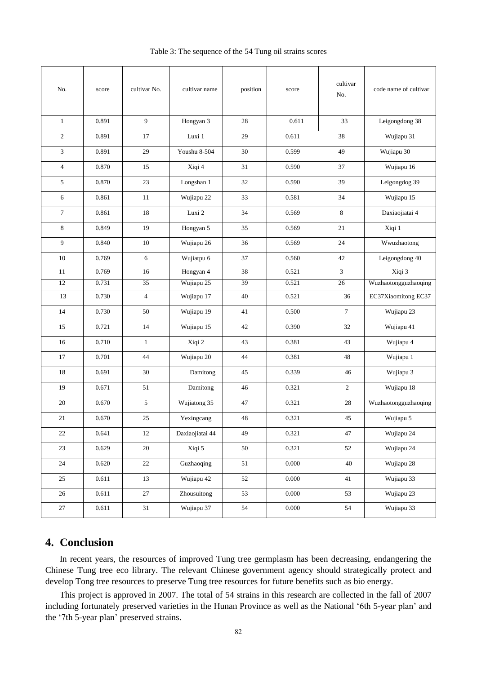| No.            | score     | cultivar No.   | cultivar name   | position    | score     | cultivar<br>No.          | code name of cultivar |  |
|----------------|-----------|----------------|-----------------|-------------|-----------|--------------------------|-----------------------|--|
| $\mathbf{1}$   | 0.891     | $\overline{9}$ | Hongyan 3       | 0.611<br>28 |           | 33                       | Leigongdong 38        |  |
| $\mathfrak{2}$ | 0.891     | 17             | Luxi 1          | 29          | 0.611     | 38                       | Wujiapu 31            |  |
| 3              | 0.891     | 29             | Youshu 8-504    | 30          | 0.599     | 49                       | Wujiapu 30            |  |
| 4              | 0.870     | 15             | Xiqi 4          | 31          | 0.590     | 37                       | Wujiapu 16            |  |
| 5              | 0.870     | 23             | Longshan 1      | 32          | 0.590     | 39                       | Leigongdog 39         |  |
| 6              | 0.861     | 11             | Wujiapu 22      | 33          | 0.581     | 34                       | Wujiapu 15            |  |
| $\tau$         | 0.861     | 18             | Luxi 2          | 34          | 0.569     | 8                        | Daxiaojiatai 4        |  |
| 8              | 0.849     | 19             | Hongyan 5       | 35          | 0.569     | 21                       | Xiqi 1                |  |
| 9              | 0.840     | 10             | Wujiapu 26      | 36          | 0.569     | 24                       | Wwuzhaotong           |  |
| 10             | 0.769     | 6              | Wujiatpu 6      | 37          | 0.560     | 42                       | Leigongdong 40        |  |
| 11             | 0.769     | 16             | Hongyan 4       | 38          | 0.521     | Xiqi 3<br>$\overline{3}$ |                       |  |
| 12             | 0.731     | 35             | Wujiapu 25      | 39          | 0.521     | $\overline{26}$          | Wuzhaotongguzhaoqing  |  |
| 13             | 0.730     | $\overline{4}$ | Wujiapu 17      | 40          | 0.521     | 36                       | EC37Xiaomitong EC37   |  |
| 14             | 0.730     | 50             | Wujiapu 19      | 41          | 0.500     | $\overline{7}$           | Wujiapu 23            |  |
| 15             | 0.721     | 14             | Wujiapu 15      | 42          | 0.390     | 32                       | Wujiapu 41            |  |
| 16             | 0.710     | $\mathbf{1}$   | Xiqi 2          | 43          | 0.381     | 43                       | Wujiapu 4             |  |
| 17             | 0.701     | 44             | Wujiapu 20      | 44          | 0.381     | 48                       | Wujiapu 1             |  |
| 18             | 0.691     | 30             | Damitong        | 45          | 0.339     | 46                       | Wujiapu 3             |  |
| 19             | 0.671     | 51             | Damitong        | 46          | 0.321     | $\overline{c}$           | Wujiapu 18            |  |
| 20             | 0.670     | $\sqrt{5}$     | Wujiatong 35    | 47          | 0.321     | 28                       | Wuzhaotongguzhaoqing  |  |
| 21             | 0.670     | $25\,$         | Yexingcang      | 48          | 0.321     | 45                       | Wujiapu 5             |  |
| $22\,$         | 0.641     | 12             | Daxiaojiatai 44 | 49          | 0.321     | 47                       | Wujiapu 24            |  |
| 23             | 0.629     | $20\,$         | Xiqi 5          | $50\,$      | 0.321     | 52                       | Wujiapu 24            |  |
| 24             | 0.620     | $22\,$         | Guzhaoqing      | 51          | $0.000\,$ | 40                       | Wujiapu 28            |  |
| 25             | 0.611     | 13             | Wujiapu 42      | 52          | 0.000     | 41                       | Wujiapu 33            |  |
| 26             | 0.611     | 27             | Zhousuitong     | 53          | 0.000     | 53                       | Wujiapu 23            |  |
| $27\,$         | $0.611\,$ | 31             | Wujiapu 37      | 54          | 0.000     | 54                       | Wujiapu 33            |  |

Table 3: The sequence of the 54 Tung oil strains scores

# **4. Conclusion**

In recent years, the resources of improved Tung tree germplasm has been decreasing, endangering the Chinese Tung tree eco library. The relevant Chinese government agency should strategically protect and develop Tong tree resources to preserve Tung tree resources for future benefits such as bio energy.

This project is approved in 2007. The total of 54 strains in this research are collected in the fall of 2007 including fortunately preserved varieties in the Hunan Province as well as the National '6th 5-year plan' and the '7th 5-year plan' preserved strains.